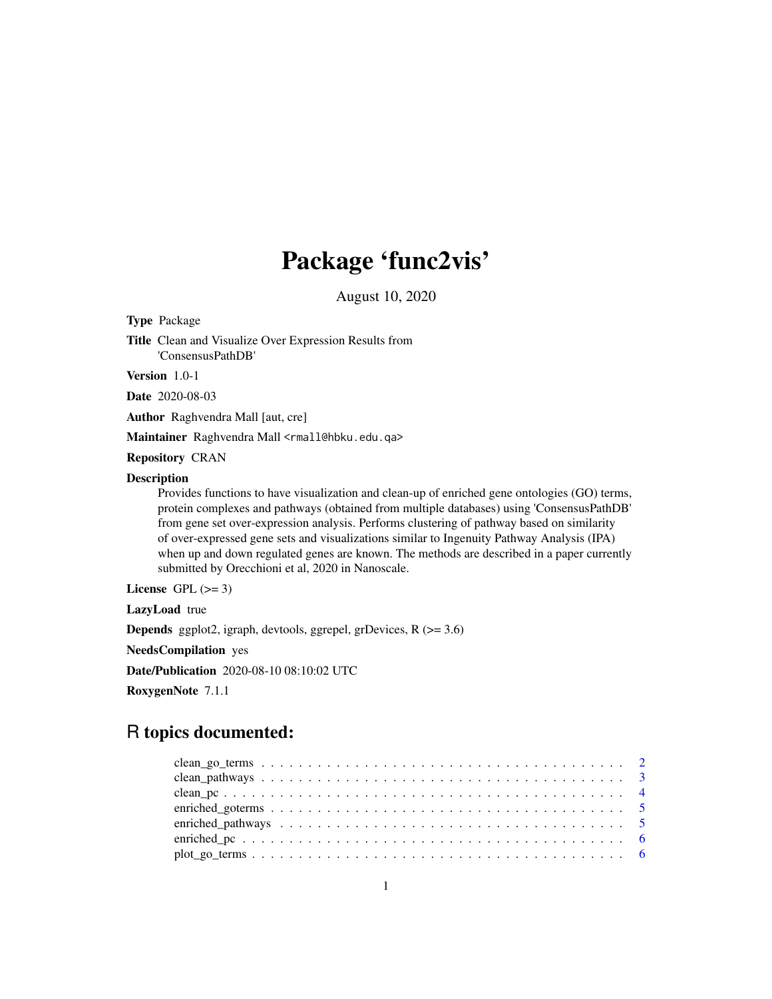## Package 'func2vis'

August 10, 2020

Type Package Title Clean and Visualize Over Expression Results from 'ConsensusPathDB'

Version 1.0-1

Date 2020-08-03

Author Raghvendra Mall [aut, cre]

Maintainer Raghvendra Mall <rmall@hbku.edu.qa>

Repository CRAN

#### Description

Provides functions to have visualization and clean-up of enriched gene ontologies (GO) terms, protein complexes and pathways (obtained from multiple databases) using 'ConsensusPathDB' from gene set over-expression analysis. Performs clustering of pathway based on similarity of over-expressed gene sets and visualizations similar to Ingenuity Pathway Analysis (IPA) when up and down regulated genes are known. The methods are described in a paper currently submitted by Orecchioni et al, 2020 in Nanoscale.

License GPL  $(>= 3)$ 

LazyLoad true

Depends ggplot2, igraph, devtools, ggrepel, grDevices, R (>= 3.6)

NeedsCompilation yes

Date/Publication 2020-08-10 08:10:02 UTC

RoxygenNote 7.1.1

### R topics documented:

| $plot\_go\_terms \dots \dots \dots \dots \dots \dots \dots \dots \dots \dots \dots \dots \dots \dots \dots \dots$ |  |  |  |  |  |  |  |  |  |  |  |  |  |  |  |  |  |  |  |
|-------------------------------------------------------------------------------------------------------------------|--|--|--|--|--|--|--|--|--|--|--|--|--|--|--|--|--|--|--|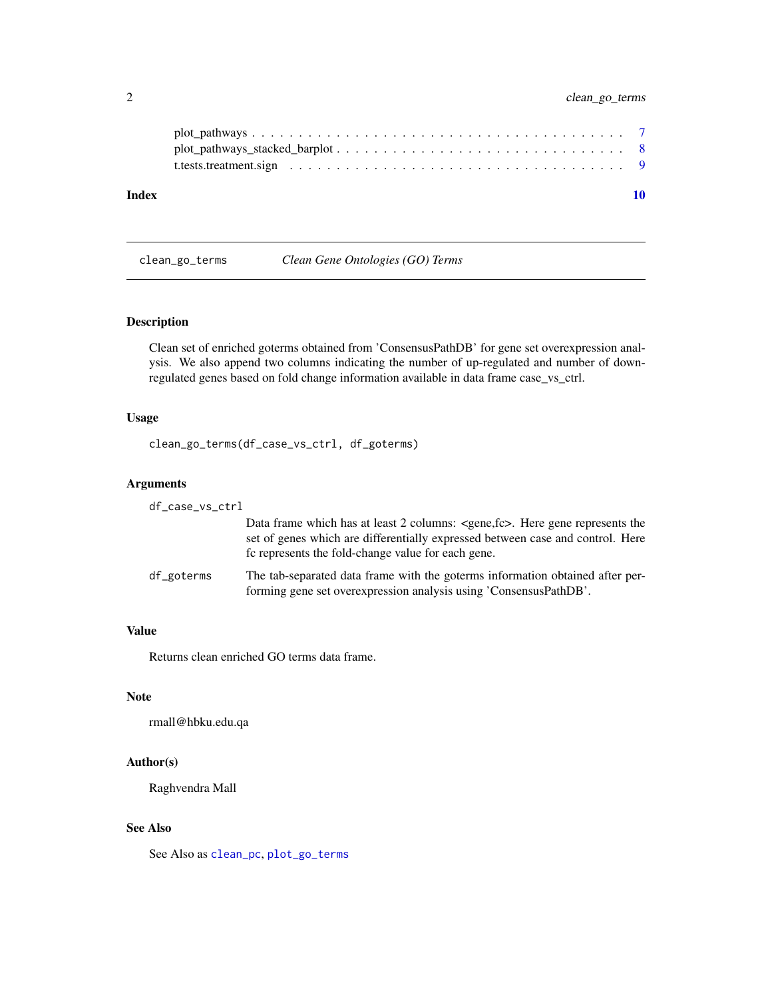<span id="page-1-0"></span>

| Index |  |
|-------|--|

<span id="page-1-1"></span>clean\_go\_terms *Clean Gene Ontologies (GO) Terms*

#### Description

Clean set of enriched goterms obtained from 'ConsensusPathDB' for gene set overexpression analysis. We also append two columns indicating the number of up-regulated and number of downregulated genes based on fold change information available in data frame case\_vs\_ctrl.

#### Usage

clean\_go\_terms(df\_case\_vs\_ctrl, df\_goterms)

#### Arguments

df\_case\_vs\_ctrl

Data frame which has at least 2 columns: <gene,fc>. Here gene represents the set of genes which are differentially expressed between case and control. Here fc represents the fold-change value for each gene.

df\_goterms The tab-separated data frame with the goterms information obtained after performing gene set overexpression analysis using 'ConsensusPathDB'.

#### Value

Returns clean enriched GO terms data frame.

#### **Note**

rmall@hbku.edu.qa

#### Author(s)

Raghvendra Mall

#### See Also

See Also as [clean\\_pc](#page-3-1), [plot\\_go\\_terms](#page-5-1)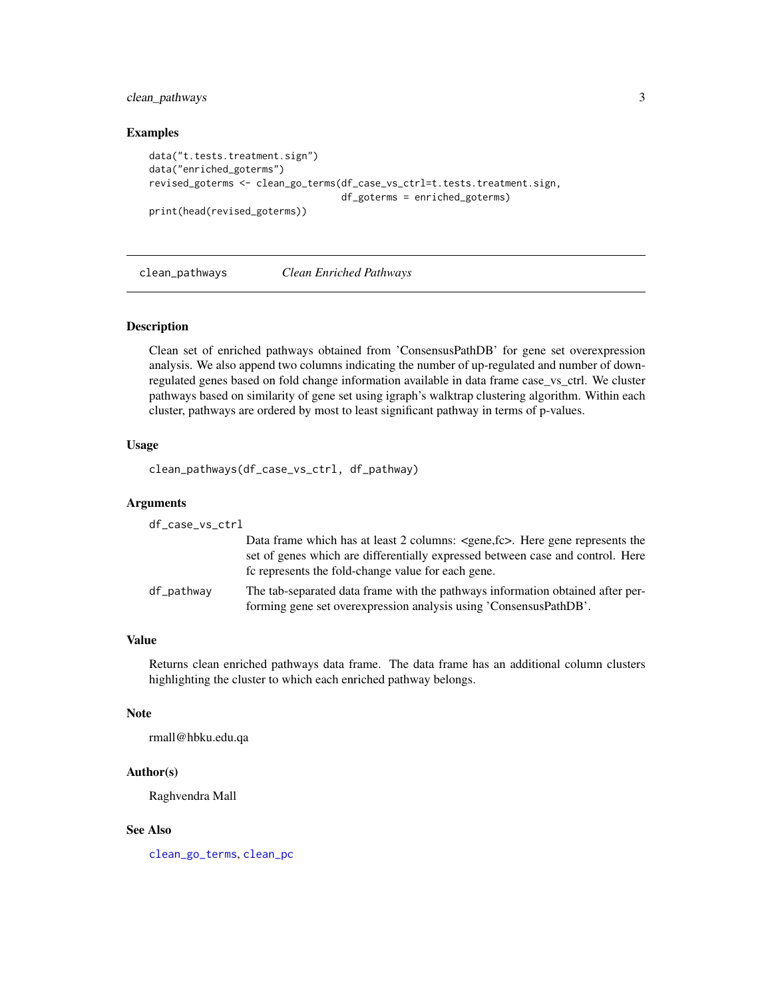#### <span id="page-2-0"></span>clean\_pathways 3

#### Examples

```
data("t.tests.treatment.sign")
data("enriched_goterms")
revised_goterms <- clean_go_terms(df_case_vs_ctrl=t.tests.treatment.sign,
                                  df_goterms = enriched_goterms)
print(head(revised_goterms))
```
<span id="page-2-1"></span>clean\_pathways *Clean Enriched Pathways*

#### Description

Clean set of enriched pathways obtained from 'ConsensusPathDB' for gene set overexpression analysis. We also append two columns indicating the number of up-regulated and number of downregulated genes based on fold change information available in data frame case\_vs\_ctrl. We cluster pathways based on similarity of gene set using igraph's walktrap clustering algorithm. Within each cluster, pathways are ordered by most to least significant pathway in terms of p-values.

#### Usage

clean\_pathways(df\_case\_vs\_ctrl, df\_pathway)

#### Arguments

| df_case_vs_ctrl |                                                                                                                                                                                                                                    |
|-----------------|------------------------------------------------------------------------------------------------------------------------------------------------------------------------------------------------------------------------------------|
|                 | Data frame which has at least 2 columns: <gene, fc="">. Here gene represents the<br/>set of genes which are differentially expressed between case and control. Here<br/>fc represents the fold-change value for each gene.</gene,> |
| df_pathway      | The tab-separated data frame with the pathways information obtained after per-<br>forming gene set overexpression analysis using 'ConsensusPathDB'.                                                                                |

#### Value

Returns clean enriched pathways data frame. The data frame has an additional column clusters highlighting the cluster to which each enriched pathway belongs.

#### Note

rmall@hbku.edu.qa

#### Author(s)

Raghvendra Mall

#### See Also

[clean\\_go\\_terms](#page-1-1), [clean\\_pc](#page-3-1)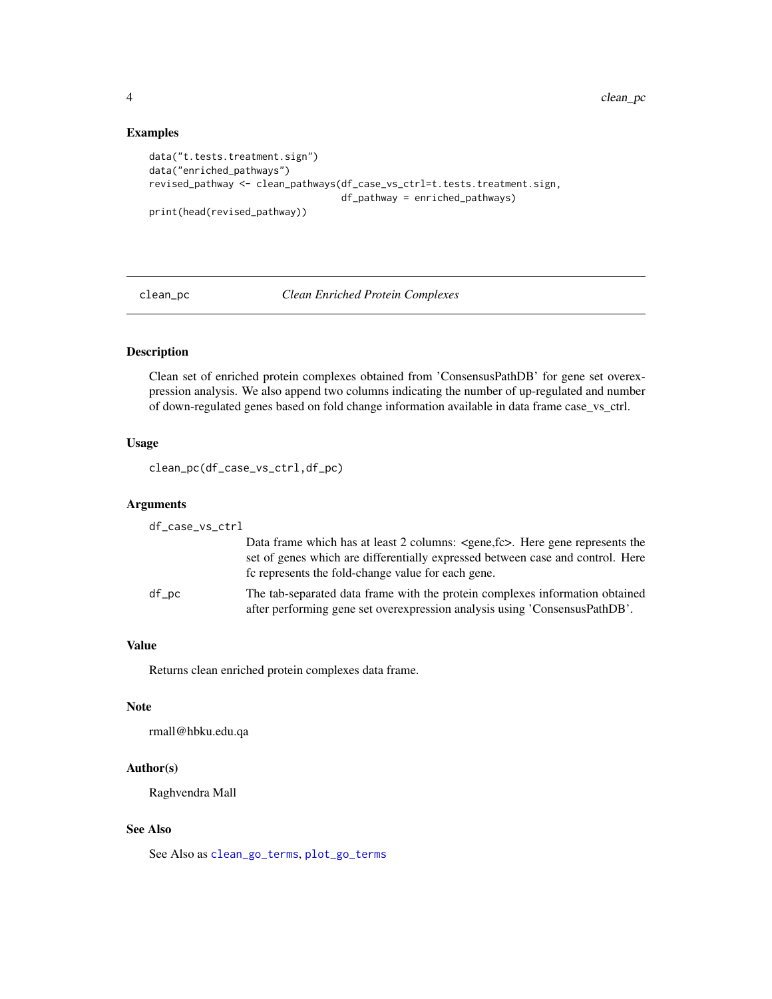4 clean\_pc

#### Examples

```
data("t.tests.treatment.sign")
data("enriched_pathways")
revised_pathway <- clean_pathways(df_case_vs_ctrl=t.tests.treatment.sign,
                                  df_pathway = enriched_pathways)
print(head(revised_pathway))
```
<span id="page-3-1"></span>clean\_pc *Clean Enriched Protein Complexes*

#### Description

Clean set of enriched protein complexes obtained from 'ConsensusPathDB' for gene set overexpression analysis. We also append two columns indicating the number of up-regulated and number of down-regulated genes based on fold change information available in data frame case\_vs\_ctrl.

#### Usage

```
clean_pc(df_case_vs_ctrl,df_pc)
```
#### Arguments

| df_case_vs_ctrl |                                                                                                                                                                                                                                    |
|-----------------|------------------------------------------------------------------------------------------------------------------------------------------------------------------------------------------------------------------------------------|
|                 | Data frame which has at least 2 columns: <gene, fc="">. Here gene represents the<br/>set of genes which are differentially expressed between case and control. Here<br/>fc represents the fold-change value for each gene.</gene,> |
| df_pc           | The tab-separated data frame with the protein complexes information obtained<br>after performing gene set overexpression analysis using 'ConsensusPathDB'.                                                                         |

#### Value

Returns clean enriched protein complexes data frame.

#### Note

rmall@hbku.edu.qa

#### Author(s)

Raghvendra Mall

#### See Also

See Also as [clean\\_go\\_terms](#page-1-1), [plot\\_go\\_terms](#page-5-1)

<span id="page-3-0"></span>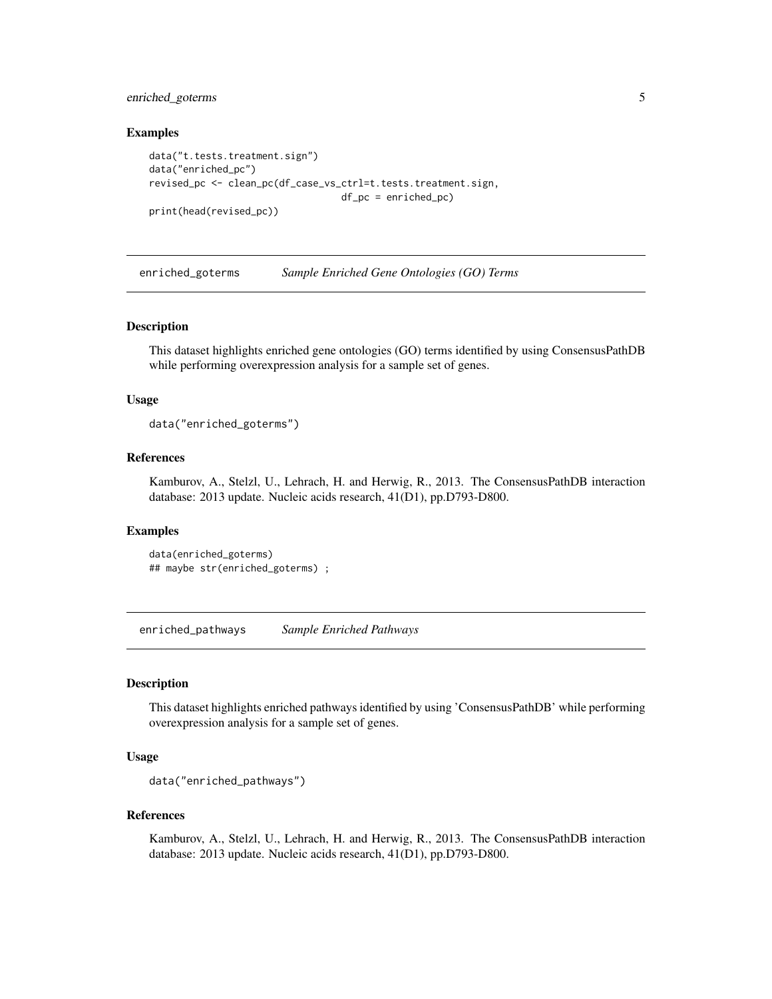#### <span id="page-4-0"></span>enriched\_goterms 5

#### Examples

```
data("t.tests.treatment.sign")
data("enriched_pc")
revised_pc <- clean_pc(df_case_vs_ctrl=t.tests.treatment.sign,
                                  df_pc = enriched_pc)
print(head(revised_pc))
```
enriched\_goterms *Sample Enriched Gene Ontologies (GO) Terms*

#### Description

This dataset highlights enriched gene ontologies (GO) terms identified by using ConsensusPathDB while performing overexpression analysis for a sample set of genes.

#### Usage

```
data("enriched_goterms")
```
#### References

Kamburov, A., Stelzl, U., Lehrach, H. and Herwig, R., 2013. The ConsensusPathDB interaction database: 2013 update. Nucleic acids research, 41(D1), pp.D793-D800.

#### Examples

```
data(enriched_goterms)
## maybe str(enriched_goterms) ;
```
enriched\_pathways *Sample Enriched Pathways*

#### Description

This dataset highlights enriched pathways identified by using 'ConsensusPathDB' while performing overexpression analysis for a sample set of genes.

#### Usage

```
data("enriched_pathways")
```
#### References

Kamburov, A., Stelzl, U., Lehrach, H. and Herwig, R., 2013. The ConsensusPathDB interaction database: 2013 update. Nucleic acids research, 41(D1), pp.D793-D800.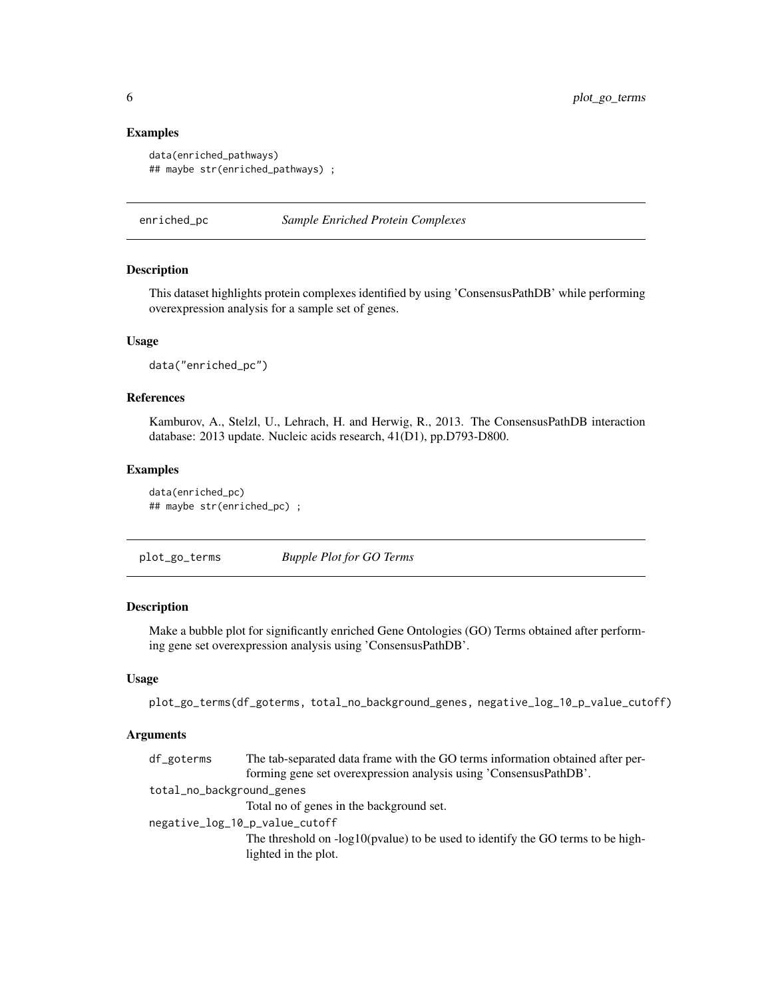#### Examples

```
data(enriched_pathways)
## maybe str(enriched_pathways) ;
```
enriched\_pc *Sample Enriched Protein Complexes*

#### Description

This dataset highlights protein complexes identified by using 'ConsensusPathDB' while performing overexpression analysis for a sample set of genes.

#### Usage

data("enriched\_pc")

#### References

Kamburov, A., Stelzl, U., Lehrach, H. and Herwig, R., 2013. The ConsensusPathDB interaction database: 2013 update. Nucleic acids research, 41(D1), pp.D793-D800.

#### Examples

```
data(enriched_pc)
## maybe str(enriched_pc) ;
```
<span id="page-5-1"></span>plot\_go\_terms *Bupple Plot for GO Terms*

#### Description

Make a bubble plot for significantly enriched Gene Ontologies (GO) Terms obtained after performing gene set overexpression analysis using 'ConsensusPathDB'.

#### Usage

plot\_go\_terms(df\_goterms, total\_no\_background\_genes, negative\_log\_10\_p\_value\_cutoff)

#### Arguments

| df_goterms                | The tab-separated data frame with the GO terms information obtained after per-    |
|---------------------------|-----------------------------------------------------------------------------------|
|                           | forming gene set overexpression analysis using 'ConsensusPathDB'.                 |
| total_no_background_genes |                                                                                   |
|                           | Total no of genes in the background set.                                          |
|                           | negative_log_10_p_value_cutoff                                                    |
|                           | The threshold on $-log10(pvalue)$ to be used to identify the GO terms to be high- |
|                           | lighted in the plot.                                                              |
|                           |                                                                                   |

<span id="page-5-0"></span>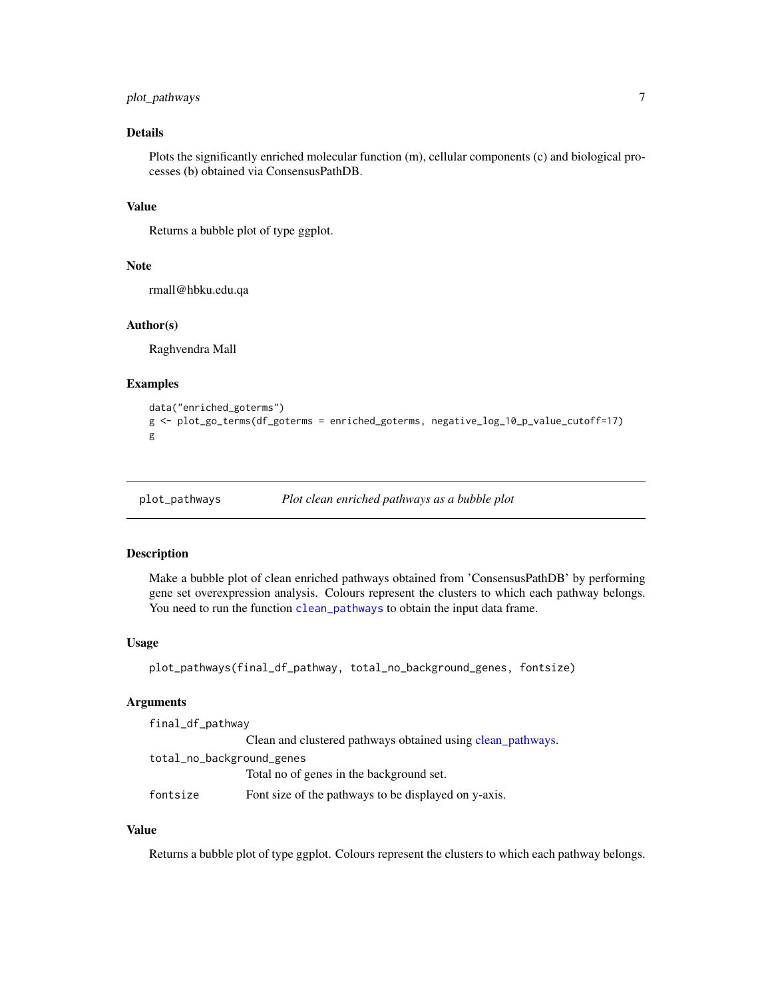#### <span id="page-6-0"></span>plot\_pathways 7

#### Details

Plots the significantly enriched molecular function (m), cellular components (c) and biological processes (b) obtained via ConsensusPathDB.

#### Value

Returns a bubble plot of type ggplot.

#### Note

rmall@hbku.edu.qa

#### Author(s)

Raghvendra Mall

#### Examples

```
data("enriched_goterms")
g <- plot_go_terms(df_goterms = enriched_goterms, negative_log_10_p_value_cutoff=17)
g
```
plot\_pathways *Plot clean enriched pathways as a bubble plot*

#### Description

Make a bubble plot of clean enriched pathways obtained from 'ConsensusPathDB' by performing gene set overexpression analysis. Colours represent the clusters to which each pathway belongs. You need to run the function [clean\\_pathways](#page-2-1) to obtain the input data frame.

#### Usage

```
plot_pathways(final_df_pathway, total_no_background_genes, fontsize)
```
#### Arguments

final\_df\_pathway Clean and clustered pathways obtained using [clean\\_pathways.](#page-2-1) total\_no\_background\_genes Total no of genes in the background set. fontsize Font size of the pathways to be displayed on y-axis.

#### Value

Returns a bubble plot of type ggplot. Colours represent the clusters to which each pathway belongs.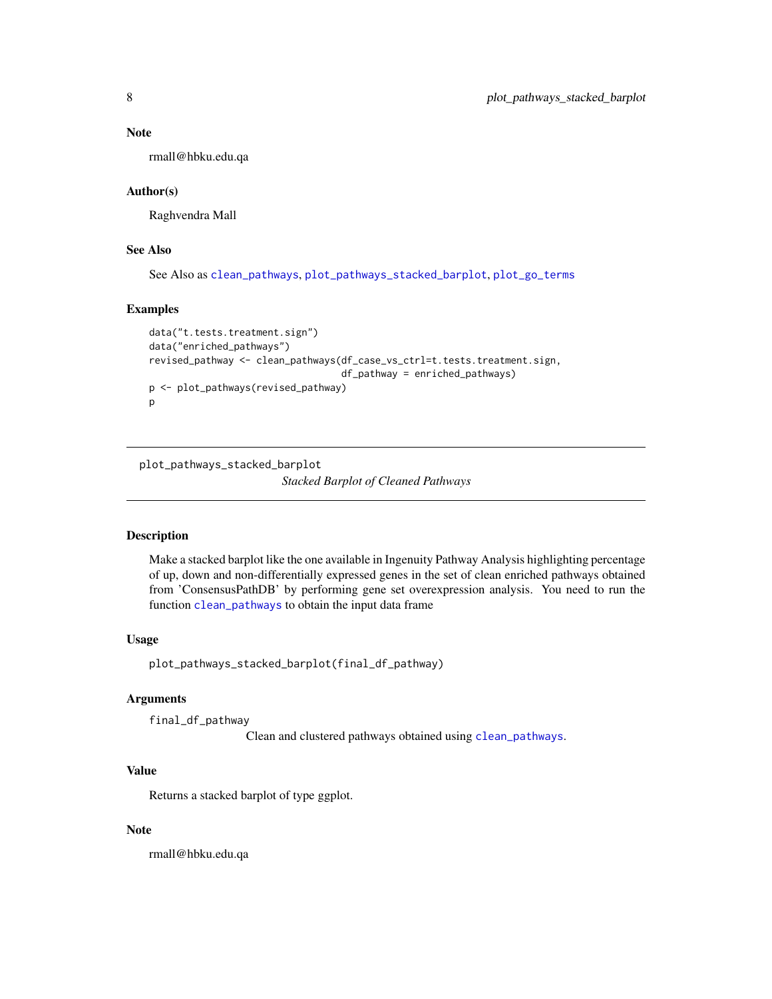#### <span id="page-7-0"></span>Note

rmall@hbku.edu.qa

#### Author(s)

Raghvendra Mall

#### See Also

See Also as [clean\\_pathways](#page-2-1), [plot\\_pathways\\_stacked\\_barplot](#page-7-1), [plot\\_go\\_terms](#page-5-1)

#### Examples

```
data("t.tests.treatment.sign")
data("enriched_pathways")
revised_pathway <- clean_pathways(df_case_vs_ctrl=t.tests.treatment.sign,
                                  df_pathway = enriched_pathways)
p <- plot_pathways(revised_pathway)
p
```
<span id="page-7-1"></span>plot\_pathways\_stacked\_barplot

#### *Stacked Barplot of Cleaned Pathways*

#### Description

Make a stacked barplot like the one available in Ingenuity Pathway Analysis highlighting percentage of up, down and non-differentially expressed genes in the set of clean enriched pathways obtained from 'ConsensusPathDB' by performing gene set overexpression analysis. You need to run the function [clean\\_pathways](#page-2-1) to obtain the input data frame

#### Usage

plot\_pathways\_stacked\_barplot(final\_df\_pathway)

#### Arguments

final\_df\_pathway

Clean and clustered pathways obtained using [clean\\_pathways](#page-2-1).

#### Value

Returns a stacked barplot of type ggplot.

#### Note

rmall@hbku.edu.qa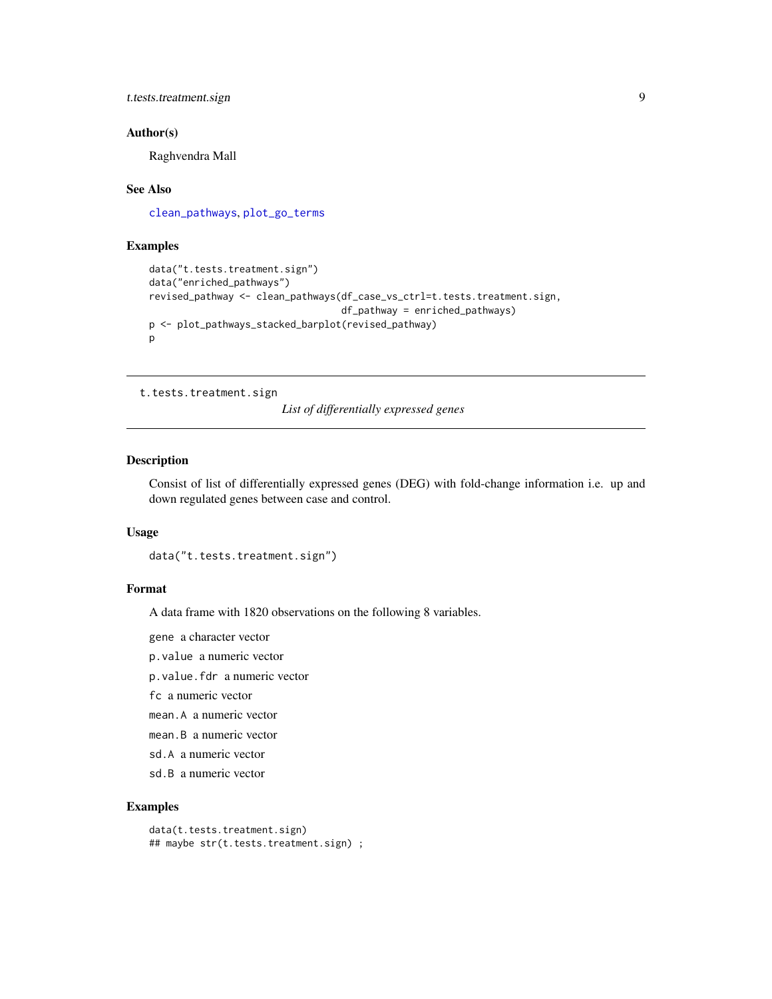<span id="page-8-0"></span>t.tests.treatment.sign 9

#### Author(s)

Raghvendra Mall

#### See Also

[clean\\_pathways](#page-2-1), [plot\\_go\\_terms](#page-5-1)

#### Examples

```
data("t.tests.treatment.sign")
data("enriched_pathways")
revised_pathway <- clean_pathways(df_case_vs_ctrl=t.tests.treatment.sign,
                                  df_pathway = enriched_pathways)
p <- plot_pathways_stacked_barplot(revised_pathway)
p
```
t.tests.treatment.sign

*List of differentially expressed genes*

#### Description

Consist of list of differentially expressed genes (DEG) with fold-change information i.e. up and down regulated genes between case and control.

#### Usage

```
data("t.tests.treatment.sign")
```
#### Format

A data frame with 1820 observations on the following 8 variables.

gene a character vector

p.value a numeric vector

p.value.fdr a numeric vector

fc a numeric vector

mean.A a numeric vector

mean.B a numeric vector

- sd.A a numeric vector
- sd.B a numeric vector

#### Examples

```
data(t.tests.treatment.sign)
## maybe str(t.tests.treatment.sign) ;
```